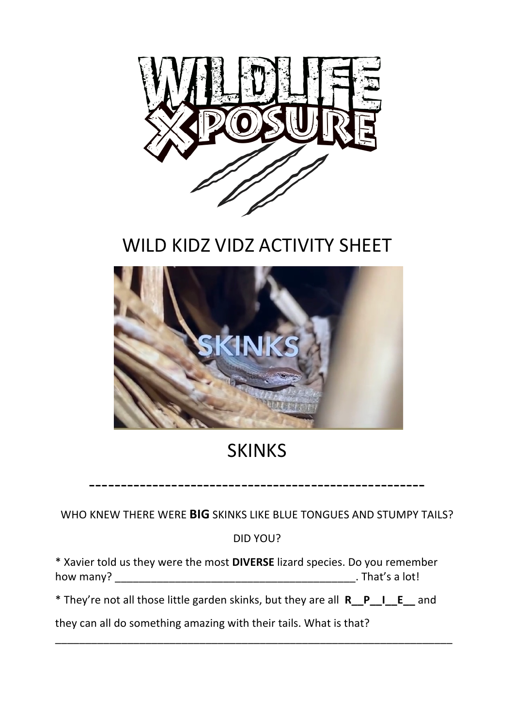

## WILD KIDZ VIDZ ACTIVITY SHEET



## **SKINKS**

-----------------------------------------------------

WHO KNEW THERE WERE **BIG** SKINKS LIKE BLUE TONGUES AND STUMPY TAILS?

DID YOU?

\* Xavier told us they were the most **DIVERSE** lizard species. Do you remember how many? \_\_\_\_\_\_\_\_\_\_\_\_\_\_\_\_\_\_\_\_\_\_\_\_\_\_\_\_\_\_\_\_\_\_\_\_\_\_\_\_. That's a lot!

\* They're not all those little garden skinks, but they are all **R\_P\_I\_E\_** and

\_\_\_\_\_\_\_\_\_\_\_\_\_\_\_\_\_\_\_\_\_\_\_\_\_\_\_\_\_\_\_\_\_\_\_\_\_\_\_\_\_\_\_\_\_\_\_\_\_\_\_\_\_\_\_\_\_\_\_\_\_\_\_\_\_\_

they can all do something amazing with their tails. What is that?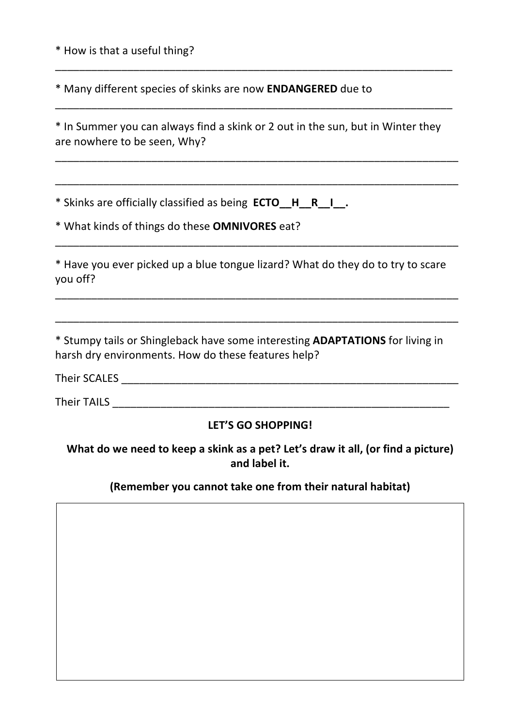\* How is that a useful thing?

\* Many different species of skinks are now **ENDANGERED** due to 

\* In Summer you can always find a skink or 2 out in the sun, but in Winter they are nowhere to be seen, Why?

\_\_\_\_\_\_\_\_\_\_\_\_\_\_\_\_\_\_\_\_\_\_\_\_\_\_\_\_\_\_\_\_\_\_\_\_\_\_\_\_\_\_\_\_\_\_\_\_\_\_\_\_\_\_\_\_\_\_\_\_\_\_\_\_\_\_\_

\_\_\_\_\_\_\_\_\_\_\_\_\_\_\_\_\_\_\_\_\_\_\_\_\_\_\_\_\_\_\_\_\_\_\_\_\_\_\_\_\_\_\_\_\_\_\_\_\_\_\_\_\_\_\_\_\_\_\_\_\_\_\_\_\_\_\_

\_\_\_\_\_\_\_\_\_\_\_\_\_\_\_\_\_\_\_\_\_\_\_\_\_\_\_\_\_\_\_\_\_\_\_\_\_\_\_\_\_\_\_\_\_\_\_\_\_\_\_\_\_\_\_\_\_\_\_\_\_\_\_\_\_\_

\_\_\_\_\_\_\_\_\_\_\_\_\_\_\_\_\_\_\_\_\_\_\_\_\_\_\_\_\_\_\_\_\_\_\_\_\_\_\_\_\_\_\_\_\_\_\_\_\_\_\_\_\_\_\_\_\_\_\_\_\_\_\_\_\_\_

\* Skinks are officially classified as being **ECTO\_H\_R\_I\_.** 

\* What kinds of things do these **OMNIVORES** eat? 

\* Have you ever picked up a blue tongue lizard? What do they do to try to scare you off? 

\_\_\_\_\_\_\_\_\_\_\_\_\_\_\_\_\_\_\_\_\_\_\_\_\_\_\_\_\_\_\_\_\_\_\_\_\_\_\_\_\_\_\_\_\_\_\_\_\_\_\_\_\_\_\_\_\_\_\_\_\_\_\_\_\_\_\_

\_\_\_\_\_\_\_\_\_\_\_\_\_\_\_\_\_\_\_\_\_\_\_\_\_\_\_\_\_\_\_\_\_\_\_\_\_\_\_\_\_\_\_\_\_\_\_\_\_\_\_\_\_\_\_\_\_\_\_\_\_\_\_\_\_\_\_

\_\_\_\_\_\_\_\_\_\_\_\_\_\_\_\_\_\_\_\_\_\_\_\_\_\_\_\_\_\_\_\_\_\_\_\_\_\_\_\_\_\_\_\_\_\_\_\_\_\_\_\_\_\_\_\_\_\_\_\_\_\_\_\_\_\_\_

\* Stumpy tails or Shingleback have some interesting **ADAPTATIONS** for living in harsh dry environments. How do these features help?

Their SCALES \_\_\_\_\_\_\_\_\_\_\_\_\_\_\_\_\_\_\_\_\_\_\_\_\_\_\_\_\_\_\_\_\_\_\_\_\_\_\_\_\_\_\_\_\_\_\_\_\_\_\_\_\_\_\_\_

Their TAILS **Their TAILS** 

## LET'S GO SHOPPING!

What do we need to keep a skink as a pet? Let's draw it all, (or find a picture) **and label it.**

**(Remember you cannot take one from their natural habitat)**